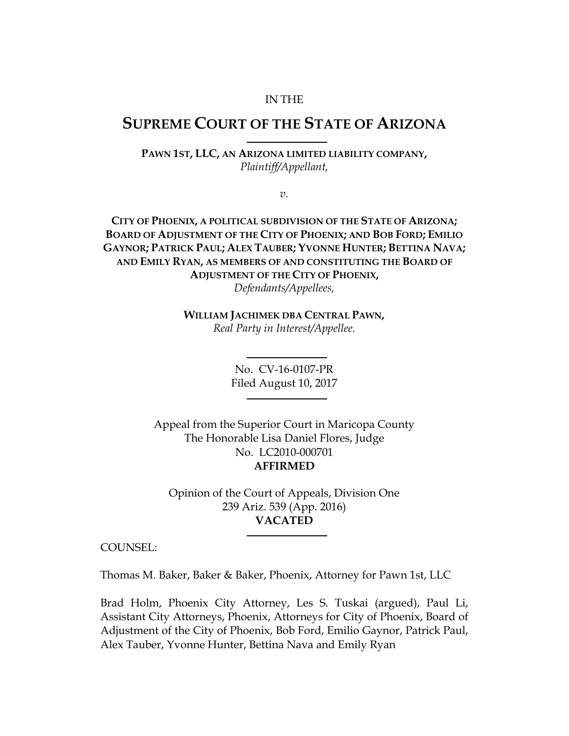#### IN THE

# **SUPREME COURT OF THE STATE OF ARIZONA**

**PAWN 1ST, LLC, AN ARIZONA LIMITED LIABILITY COMPANY,**  *Plaintiff/Appellant,*

*v.*

**CITY OF PHOENIX, A POLITICAL SUBDIVISION OF THE STATE OF ARIZONA; BOARD OF ADJUSTMENT OF THE CITY OF PHOENIX; AND BOB FORD; EMILIO GAYNOR; PATRICK PAUL; ALEX TAUBER; YVONNE HUNTER; BETTINA NAVA; AND EMILY RYAN, AS MEMBERS OF AND CONSTITUTING THE BOARD OF ADJUSTMENT OF THE CITY OF PHOENIX,** *Defendants/Appellees,*

> **WILLIAM JACHIMEK DBA CENTRAL PAWN,** *Real Party in Interest/Appellee.*

> > No. CV-16-0107-PR Filed August 10, 2017

Appeal from the Superior Court in Maricopa County The Honorable Lisa Daniel Flores, Judge No. LC2010-000701 **AFFIRMED**

Opinion of the Court of Appeals, Division One 239 Ariz. 539 (App. 2016) **VACATED**

COUNSEL:

Thomas M. Baker, Baker & Baker, Phoenix, Attorney for Pawn 1st, LLC

Brad Holm, Phoenix City Attorney, Les S. Tuskai (argued), Paul Li, Assistant City Attorneys, Phoenix, Attorneys for City of Phoenix, Board of Adjustment of the City of Phoenix, Bob Ford, Emilio Gaynor, Patrick Paul, Alex Tauber, Yvonne Hunter, Bettina Nava and Emily Ryan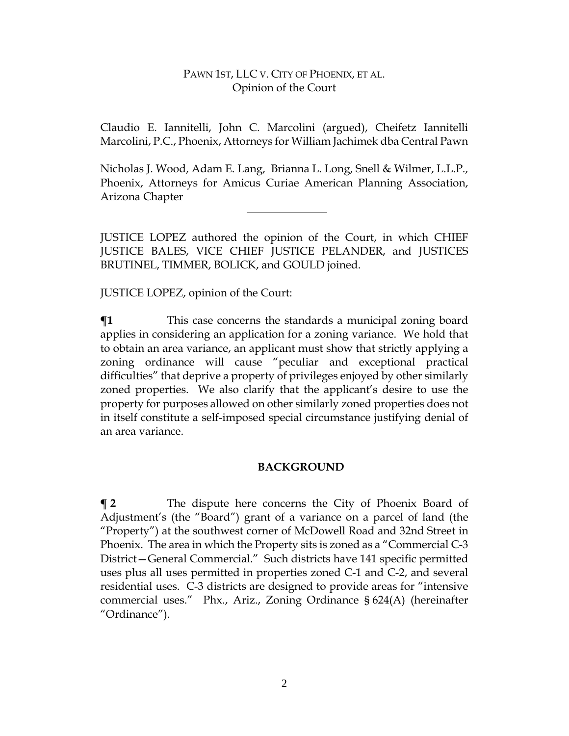Claudio E. Iannitelli, John C. Marcolini (argued), Cheifetz Iannitelli Marcolini, P.C., Phoenix, Attorneys for William Jachimek dba Central Pawn

Nicholas J. Wood, Adam E. Lang, Brianna L. Long, Snell & Wilmer, L.L.P., Phoenix, Attorneys for Amicus Curiae American Planning Association, Arizona Chapter

JUSTICE LOPEZ authored the opinion of the Court, in which CHIEF JUSTICE BALES, VICE CHIEF JUSTICE PELANDER, and JUSTICES BRUTINEL, TIMMER, BOLICK, and GOULD joined.

JUSTICE LOPEZ, opinion of the Court:

**¶1** This case concerns the standards a municipal zoning board applies in considering an application for a zoning variance. We hold that to obtain an area variance, an applicant must show that strictly applying a zoning ordinance will cause "peculiar and exceptional practical difficulties" that deprive a property of privileges enjoyed by other similarly zoned properties. We also clarify that the applicant's desire to use the property for purposes allowed on other similarly zoned properties does not in itself constitute a self-imposed special circumstance justifying denial of an area variance.

# **BACKGROUND**

**¶ 2** The dispute here concerns the City of Phoenix Board of Adjustment's (the "Board") grant of a variance on a parcel of land (the "Property") at the southwest corner of McDowell Road and 32nd Street in Phoenix. The area in which the Property sits is zoned as a "Commercial C-3 District—General Commercial." Such districts have 141 specific permitted uses plus all uses permitted in properties zoned C-1 and C-2, and several residential uses. C-3 districts are designed to provide areas for "intensive commercial uses." Phx., Ariz., Zoning Ordinance § 624(A) (hereinafter "Ordinance").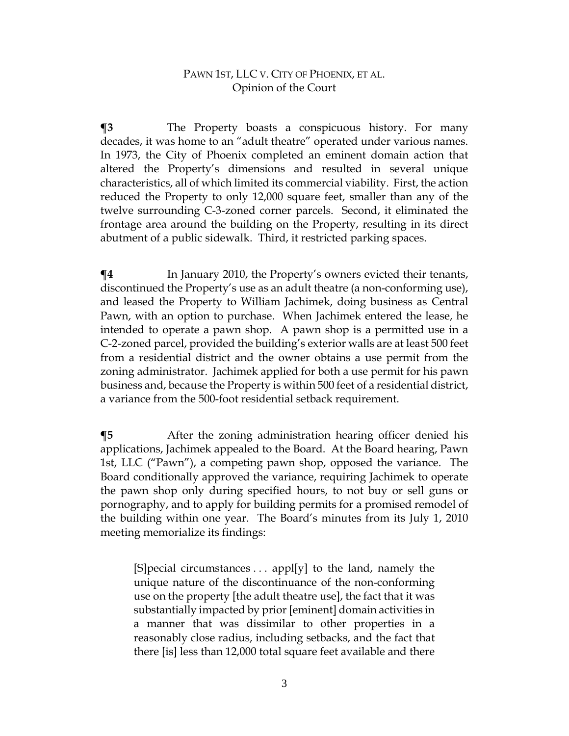**¶3** The Property boasts a conspicuous history. For many decades, it was home to an "adult theatre" operated under various names. In 1973, the City of Phoenix completed an eminent domain action that altered the Property's dimensions and resulted in several unique characteristics, all of which limited its commercial viability. First, the action reduced the Property to only 12,000 square feet, smaller than any of the twelve surrounding C-3-zoned corner parcels. Second, it eliminated the frontage area around the building on the Property, resulting in its direct abutment of a public sidewalk. Third, it restricted parking spaces.

 $\P$ **4** In January 2010, the Property's owners evicted their tenants, discontinued the Property's use as an adult theatre (a non-conforming use), and leased the Property to William Jachimek, doing business as Central Pawn, with an option to purchase. When Jachimek entered the lease, he intended to operate a pawn shop. A pawn shop is a permitted use in a C-2-zoned parcel, provided the building's exterior walls are at least 500 feet from a residential district and the owner obtains a use permit from the zoning administrator. Jachimek applied for both a use permit for his pawn business and, because the Property is within 500 feet of a residential district, a variance from the 500-foot residential setback requirement.

**¶5** After the zoning administration hearing officer denied his applications, Jachimek appealed to the Board. At the Board hearing, Pawn 1st, LLC ("Pawn"), a competing pawn shop, opposed the variance. The Board conditionally approved the variance, requiring Jachimek to operate the pawn shop only during specified hours, to not buy or sell guns or pornography, and to apply for building permits for a promised remodel of the building within one year. The Board's minutes from its July 1, 2010 meeting memorialize its findings:

[S] pecial circumstances  $\dots$  appl[y] to the land, namely the unique nature of the discontinuance of the non-conforming use on the property [the adult theatre use], the fact that it was substantially impacted by prior [eminent] domain activities in a manner that was dissimilar to other properties in a reasonably close radius, including setbacks, and the fact that there [is] less than 12,000 total square feet available and there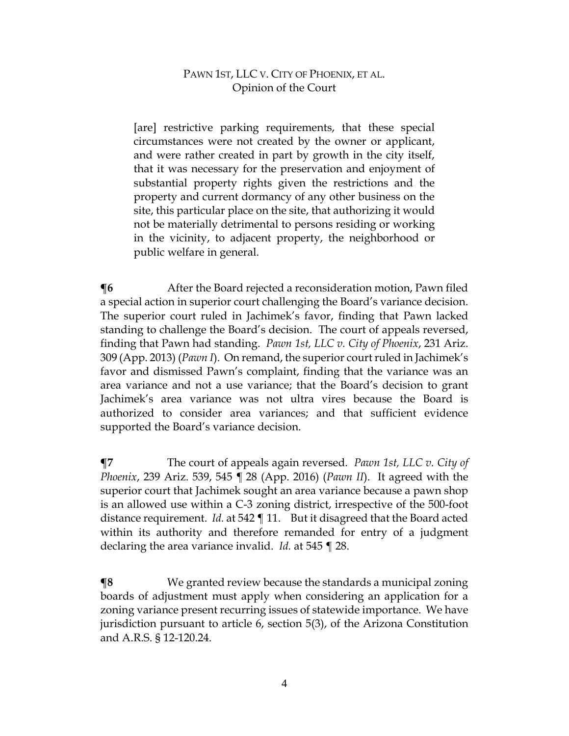[are] restrictive parking requirements, that these special circumstances were not created by the owner or applicant, and were rather created in part by growth in the city itself, that it was necessary for the preservation and enjoyment of substantial property rights given the restrictions and the property and current dormancy of any other business on the site, this particular place on the site, that authorizing it would not be materially detrimental to persons residing or working in the vicinity, to adjacent property, the neighborhood or public welfare in general.

**The 1 1** After the Board rejected a reconsideration motion, Pawn filed a special action in superior court challenging the Board's variance decision. The superior court ruled in Jachimek's favor, finding that Pawn lacked standing to challenge the Board's decision. The court of appeals reversed, finding that Pawn had standing. *Pawn 1st, LLC v. City of Phoenix*, 231 Ariz. 309 (App. 2013) (*Pawn I*). On remand, the superior court ruled in Jachimek's favor and dismissed Pawn's complaint, finding that the variance was an area variance and not a use variance; that the Board's decision to grant Jachimek's area variance was not ultra vires because the Board is authorized to consider area variances; and that sufficient evidence supported the Board's variance decision.

**¶7** The court of appeals again reversed. *Pawn 1st, LLC v. City of Phoenix*, 239 Ariz. 539, 545 ¶ 28 (App. 2016) (*Pawn II*). It agreed with the superior court that Jachimek sought an area variance because a pawn shop is an allowed use within a C-3 zoning district, irrespective of the 500-foot distance requirement. *Id.* at 542 ¶ 11. But it disagreed that the Board acted within its authority and therefore remanded for entry of a judgment declaring the area variance invalid. *Id.* at 545 ¶ 28.

**¶8** We granted review because the standards a municipal zoning boards of adjustment must apply when considering an application for a zoning variance present recurring issues of statewide importance. We have jurisdiction pursuant to article 6, section 5(3), of the Arizona Constitution and A.R.S. § 12-120.24.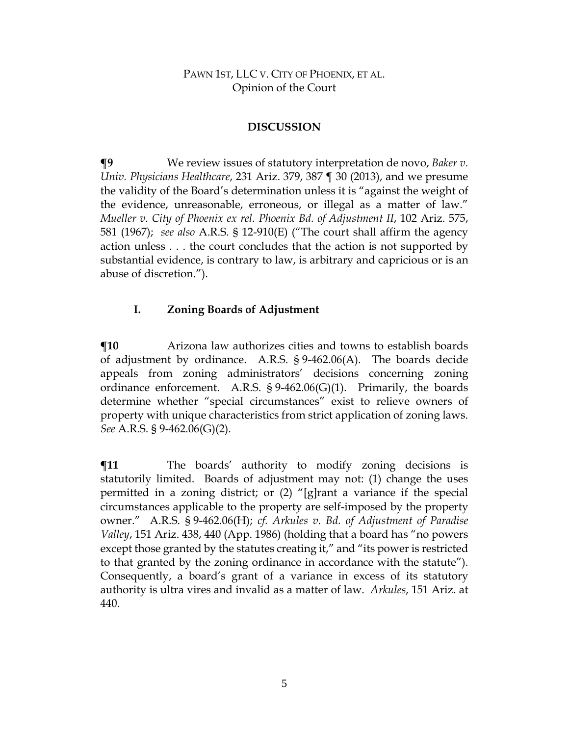### **DISCUSSION**

**¶9** We review issues of statutory interpretation de novo, *Baker v. Univ. Physicians Healthcare*, 231 Ariz. 379, 387 ¶ 30 (2013), and we presume the validity of the Board's determination unless it is "against the weight of the evidence, unreasonable, erroneous, or illegal as a matter of law." *Mueller v. City of Phoenix ex rel. Phoenix Bd. of Adjustment II*, 102 Ariz. 575, 581 (1967); *see also* A.R.S. § 12-910(E) ("The court shall affirm the agency action unless . . . the court concludes that the action is not supported by substantial evidence, is contrary to law, is arbitrary and capricious or is an abuse of discretion.").

# **I. Zoning Boards of Adjustment**

**¶10** Arizona law authorizes cities and towns to establish boards of adjustment by ordinance. A.R.S. § 9-462.06(A). The boards decide appeals from zoning administrators' decisions concerning zoning ordinance enforcement. A.R.S. § 9-462.06(G)(1). Primarily, the boards determine whether "special circumstances" exist to relieve owners of property with unique characteristics from strict application of zoning laws. *See* A.R.S. § 9-462.06(G)(2).

 $\P$ **11** The boards' authority to modify zoning decisions is statutorily limited. Boards of adjustment may not: (1) change the uses permitted in a zoning district; or (2) "[g]rant a variance if the special circumstances applicable to the property are self-imposed by the property owner." A.R.S. § 9-462.06(H); *cf. Arkules v. Bd. of Adjustment of Paradise Valley*, 151 Ariz. 438, 440 (App. 1986) (holding that a board has "no powers except those granted by the statutes creating it," and "its power is restricted to that granted by the zoning ordinance in accordance with the statute"). Consequently, a board's grant of a variance in excess of its statutory authority is ultra vires and invalid as a matter of law. *Arkules*, 151 Ariz. at 440.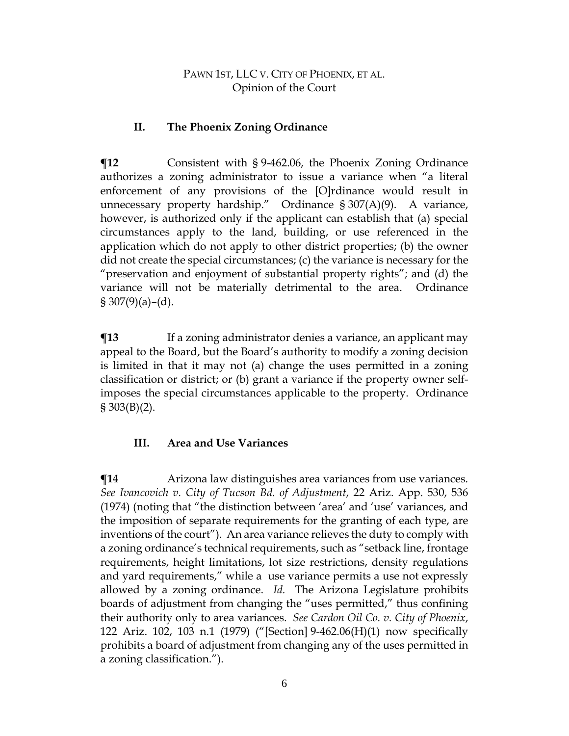### **II. The Phoenix Zoning Ordinance**

**¶12** Consistent with § 9-462.06, the Phoenix Zoning Ordinance authorizes a zoning administrator to issue a variance when "a literal enforcement of any provisions of the [O]rdinance would result in unnecessary property hardship." Ordinance § 307(A)(9). A variance, however, is authorized only if the applicant can establish that (a) special circumstances apply to the land, building, or use referenced in the application which do not apply to other district properties; (b) the owner did not create the special circumstances; (c) the variance is necessary for the "preservation and enjoyment of substantial property rights"; and (d) the variance will not be materially detrimental to the area. Ordinance  $\S 307(9)(a) - (d)$ .

**The Term** If a zoning administrator denies a variance, an applicant may appeal to the Board, but the Board's authority to modify a zoning decision is limited in that it may not (a) change the uses permitted in a zoning classification or district; or (b) grant a variance if the property owner selfimposes the special circumstances applicable to the property. Ordinance  $\S 303(B)(2)$ .

# **III. Area and Use Variances**

**¶14** Arizona law distinguishes area variances from use variances. *See Ivancovich v. City of Tucson Bd. of Adjustment*, 22 Ariz. App. 530, 536 (1974) (noting that "the distinction between 'area' and 'use' variances, and the imposition of separate requirements for the granting of each type, are inventions of the court"). An area variance relieves the duty to comply with a zoning ordinance's technical requirements, such as "setback line, frontage requirements, height limitations, lot size restrictions, density regulations and yard requirements," while a use variance permits a use not expressly allowed by a zoning ordinance. *Id.* The Arizona Legislature prohibits boards of adjustment from changing the "uses permitted," thus confining their authority only to area variances. *See Cardon Oil Co. v. City of Phoenix*, 122 Ariz. 102, 103 n.1 (1979) ("[Section] 9-462.06(H)(1) now specifically prohibits a board of adjustment from changing any of the uses permitted in a zoning classification.").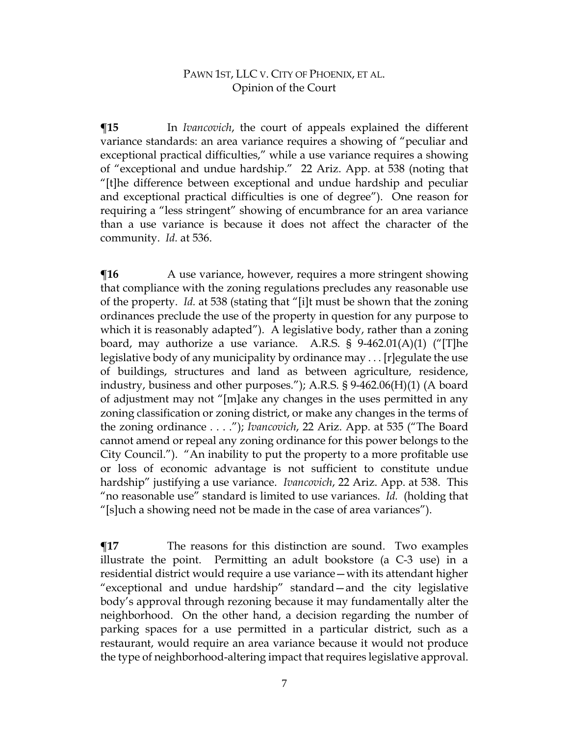**¶15** In *Ivancovich*, the court of appeals explained the different variance standards: an area variance requires a showing of "peculiar and exceptional practical difficulties," while a use variance requires a showing of "exceptional and undue hardship." 22 Ariz. App. at 538 (noting that "[t]he difference between exceptional and undue hardship and peculiar and exceptional practical difficulties is one of degree"). One reason for requiring a "less stringent" showing of encumbrance for an area variance than a use variance is because it does not affect the character of the community. *Id.* at 536.

**The** A use variance, however, requires a more stringent showing that compliance with the zoning regulations precludes any reasonable use of the property. *Id.* at 538 (stating that "[i]t must be shown that the zoning ordinances preclude the use of the property in question for any purpose to which it is reasonably adapted"). A legislative body, rather than a zoning board, may authorize a use variance. A.R.S. § 9-462.01(A)(1) ("[T]he legislative body of any municipality by ordinance may . . . [r]egulate the use of buildings, structures and land as between agriculture, residence, industry, business and other purposes."); A.R.S. § 9-462.06(H)(1) (A board of adjustment may not "[m]ake any changes in the uses permitted in any zoning classification or zoning district, or make any changes in the terms of the zoning ordinance . . . ."); *Ivancovich*, 22 Ariz. App. at 535 ("The Board cannot amend or repeal any zoning ordinance for this power belongs to the City Council."). "An inability to put the property to a more profitable use or loss of economic advantage is not sufficient to constitute undue hardship" justifying a use variance. *Ivancovich*, 22 Ariz. App. at 538.This "no reasonable use" standard is limited to use variances. *Id.* (holding that "[s]uch a showing need not be made in the case of area variances").

 $\P$ **17** The reasons for this distinction are sound. Two examples illustrate the point. Permitting an adult bookstore (a C-3 use) in a residential district would require a use variance—with its attendant higher "exceptional and undue hardship" standard—and the city legislative body's approval through rezoning because it may fundamentally alter the neighborhood. On the other hand, a decision regarding the number of parking spaces for a use permitted in a particular district, such as a restaurant, would require an area variance because it would not produce the type of neighborhood-altering impact that requires legislative approval.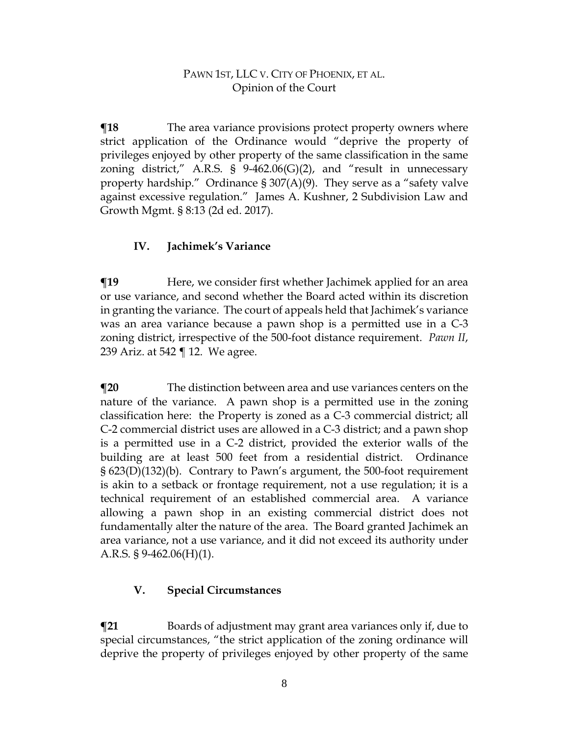$\P$ **18** The area variance provisions protect property owners where strict application of the Ordinance would "deprive the property of privileges enjoyed by other property of the same classification in the same zoning district," A.R.S. §  $9-462.06(G)(2)$ , and "result in unnecessary property hardship." Ordinance § 307(A)(9). They serve as a "safety valve against excessive regulation." James A. Kushner, 2 Subdivision Law and Growth Mgmt. § 8:13 (2d ed. 2017).

### **IV. Jachimek's Variance**

**There**, we consider first whether Jachimek applied for an area or use variance, and second whether the Board acted within its discretion in granting the variance. The court of appeals held that Jachimek's variance was an area variance because a pawn shop is a permitted use in a C-3 zoning district, irrespective of the 500-foot distance requirement. *Pawn II*, 239 Ariz. at 542 ¶ 12. We agree.

**¶20** The distinction between area and use variances centers on the nature of the variance. A pawn shop is a permitted use in the zoning classification here: the Property is zoned as a C-3 commercial district; all C-2 commercial district uses are allowed in a C-3 district; and a pawn shop is a permitted use in a C-2 district, provided the exterior walls of the building are at least 500 feet from a residential district. Ordinance § 623(D)(132)(b). Contrary to Pawn's argument, the 500-foot requirement is akin to a setback or frontage requirement, not a use regulation; it is a technical requirement of an established commercial area. A variance allowing a pawn shop in an existing commercial district does not fundamentally alter the nature of the area. The Board granted Jachimek an area variance, not a use variance, and it did not exceed its authority under A.R.S. § 9-462.06(H)(1).

# **V. Special Circumstances**

**The T**21 Boards of adjustment may grant area variances only if, due to special circumstances, "the strict application of the zoning ordinance will deprive the property of privileges enjoyed by other property of the same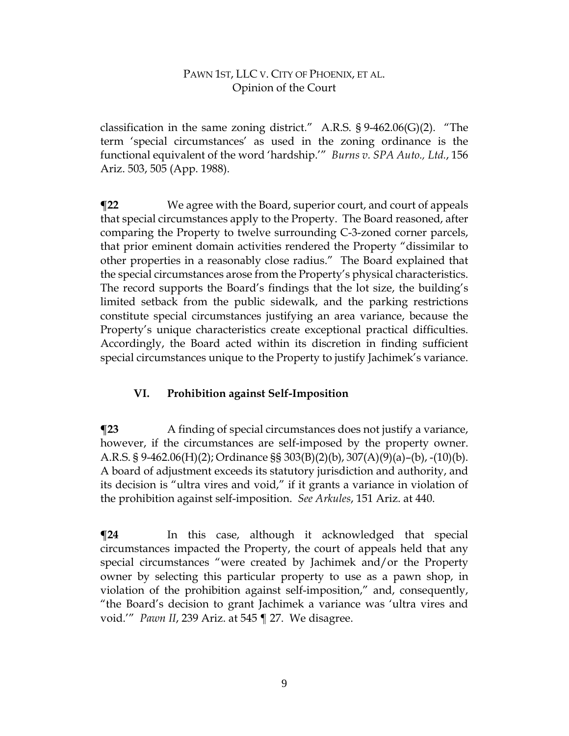classification in the same zoning district." A.R.S. § 9-462.06(G)(2). "The term 'special circumstances' as used in the zoning ordinance is the functional equivalent of the word 'hardship.'" *Burns v. SPA Auto., Ltd.*, 156 Ariz. 503, 505 (App. 1988).

**¶22** We agree with the Board, superior court, and court of appeals that special circumstances apply to the Property. The Board reasoned, after comparing the Property to twelve surrounding C-3-zoned corner parcels, that prior eminent domain activities rendered the Property "dissimilar to other properties in a reasonably close radius." The Board explained that the special circumstances arose from the Property's physical characteristics. The record supports the Board's findings that the lot size, the building's limited setback from the public sidewalk, and the parking restrictions constitute special circumstances justifying an area variance, because the Property's unique characteristics create exceptional practical difficulties. Accordingly, the Board acted within its discretion in finding sufficient special circumstances unique to the Property to justify Jachimek's variance.

# **VI. Prohibition against Self-Imposition**

**The Step A** finding of special circumstances does not justify a variance, however, if the circumstances are self-imposed by the property owner. A.R.S. § 9-462.06(H)(2); Ordinance §§ 303(B)(2)(b), 307(A)(9)(a)–(b), -(10)(b). A board of adjustment exceeds its statutory jurisdiction and authority, and its decision is "ultra vires and void," if it grants a variance in violation of the prohibition against self-imposition. *See Arkules*, 151 Ariz. at 440.

**¶24** In this case, although it acknowledged that special circumstances impacted the Property, the court of appeals held that any special circumstances "were created by Jachimek and/or the Property owner by selecting this particular property to use as a pawn shop, in violation of the prohibition against self-imposition," and, consequently, "the Board's decision to grant Jachimek a variance was 'ultra vires and void.'" *Pawn II*, 239 Ariz. at 545 ¶ 27. We disagree.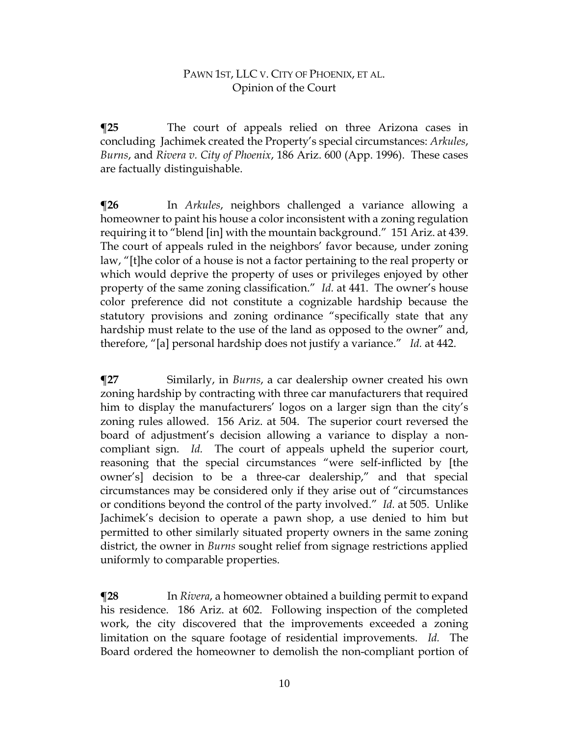**¶25** The court of appeals relied on three Arizona cases in concluding Jachimek created the Property's special circumstances: *Arkules*, *Burns*, and *Rivera v. City of Phoenix*, 186 Ariz. 600 (App. 1996). These cases are factually distinguishable.

**¶26** In *Arkules*, neighbors challenged a variance allowing a homeowner to paint his house a color inconsistent with a zoning regulation requiring it to "blend [in] with the mountain background." 151 Ariz. at 439. The court of appeals ruled in the neighbors' favor because, under zoning law, "[t]he color of a house is not a factor pertaining to the real property or which would deprive the property of uses or privileges enjoyed by other property of the same zoning classification." *Id.* at 441. The owner's house color preference did not constitute a cognizable hardship because the statutory provisions and zoning ordinance "specifically state that any hardship must relate to the use of the land as opposed to the owner" and, therefore, "[a] personal hardship does not justify a variance." *Id.* at 442.

**¶27** Similarly, in *Burns*, a car dealership owner created his own zoning hardship by contracting with three car manufacturers that required him to display the manufacturers' logos on a larger sign than the city's zoning rules allowed. 156 Ariz. at 504. The superior court reversed the board of adjustment's decision allowing a variance to display a noncompliant sign. *Id.* The court of appeals upheld the superior court, reasoning that the special circumstances "were self-inflicted by [the owner's] decision to be a three-car dealership," and that special circumstances may be considered only if they arise out of "circumstances or conditions beyond the control of the party involved." *Id.* at 505. Unlike Jachimek's decision to operate a pawn shop, a use denied to him but permitted to other similarly situated property owners in the same zoning district, the owner in *Burns* sought relief from signage restrictions applied uniformly to comparable properties.

**¶28** In *Rivera*, a homeowner obtained a building permit to expand his residence. 186 Ariz. at 602. Following inspection of the completed work, the city discovered that the improvements exceeded a zoning limitation on the square footage of residential improvements. *Id.* The Board ordered the homeowner to demolish the non-compliant portion of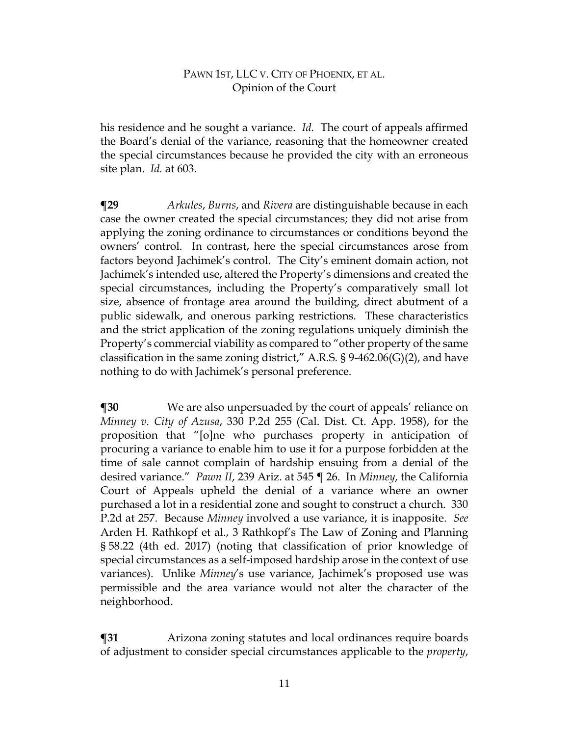his residence and he sought a variance. *Id.* The court of appeals affirmed the Board's denial of the variance, reasoning that the homeowner created the special circumstances because he provided the city with an erroneous site plan. *Id.* at 603.

**¶29** *Arkules*, *Burns*, and *Rivera* are distinguishable because in each case the owner created the special circumstances; they did not arise from applying the zoning ordinance to circumstances or conditions beyond the owners' control. In contrast, here the special circumstances arose from factors beyond Jachimek's control. The City's eminent domain action, not Jachimek's intended use, altered the Property's dimensions and created the special circumstances, including the Property's comparatively small lot size, absence of frontage area around the building, direct abutment of a public sidewalk, and onerous parking restrictions. These characteristics and the strict application of the zoning regulations uniquely diminish the Property's commercial viability as compared to "other property of the same classification in the same zoning district," A.R.S.  $\S$  9-462.06(G)(2), and have nothing to do with Jachimek's personal preference.

**¶30** We are also unpersuaded by the court of appeals' reliance on *Minney v. City of Azusa*, 330 P.2d 255 (Cal. Dist. Ct. App. 1958), for the proposition that "[o]ne who purchases property in anticipation of procuring a variance to enable him to use it for a purpose forbidden at the time of sale cannot complain of hardship ensuing from a denial of the desired variance." *Pawn II*, 239 Ariz. at 545 ¶ 26. In *Minney*, the California Court of Appeals upheld the denial of a variance where an owner purchased a lot in a residential zone and sought to construct a church. 330 P.2d at 257. Because *Minney* involved a use variance, it is inapposite. *See* Arden H. Rathkopf et al., 3 Rathkopf's The Law of Zoning and Planning § 58.22 (4th ed. 2017) (noting that classification of prior knowledge of special circumstances as a self-imposed hardship arose in the context of use variances). Unlike *Minney*'s use variance, Jachimek's proposed use was permissible and the area variance would not alter the character of the neighborhood.

**¶31** Arizona zoning statutes and local ordinances require boards of adjustment to consider special circumstances applicable to the *property*,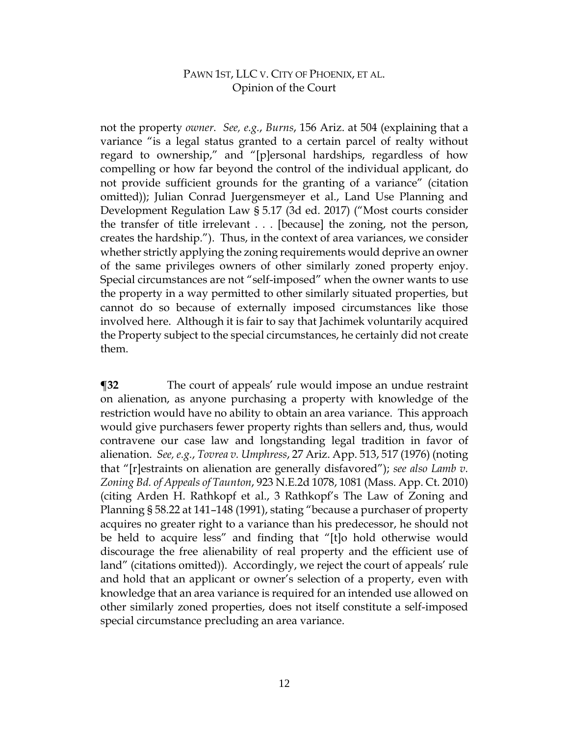not the property *owner*. *See, e.g.*, *Burns*, 156 Ariz. at 504 (explaining that a variance "is a legal status granted to a certain parcel of realty without regard to ownership," and "[p]ersonal hardships, regardless of how compelling or how far beyond the control of the individual applicant, do not provide sufficient grounds for the granting of a variance" (citation omitted)); Julian Conrad Juergensmeyer et al., Land Use Planning and Development Regulation Law § 5.17 (3d ed. 2017) ("Most courts consider the transfer of title irrelevant . . . [because] the zoning, not the person, creates the hardship."). Thus, in the context of area variances, we consider whether strictly applying the zoning requirements would deprive an owner of the same privileges owners of other similarly zoned property enjoy. Special circumstances are not "self-imposed" when the owner wants to use the property in a way permitted to other similarly situated properties, but cannot do so because of externally imposed circumstances like those involved here. Although it is fair to say that Jachimek voluntarily acquired the Property subject to the special circumstances, he certainly did not create them.

**¶32** The court of appeals' rule would impose an undue restraint on alienation, as anyone purchasing a property with knowledge of the restriction would have no ability to obtain an area variance. This approach would give purchasers fewer property rights than sellers and, thus, would contravene our case law and longstanding legal tradition in favor of alienation. *See, e.g.*, *Tovrea v. Umphress*, 27 Ariz. App. 513, 517 (1976) (noting that "[r]estraints on alienation are generally disfavored"); *see also Lamb v. Zoning Bd. of Appeals of Taunton*, 923 N.E.2d 1078, 1081 (Mass. App. Ct. 2010) (citing Arden H. Rathkopf et al., 3 Rathkopf's The Law of Zoning and Planning § 58.22 at 141–148 (1991), stating "because a purchaser of property acquires no greater right to a variance than his predecessor, he should not be held to acquire less" and finding that "[t]o hold otherwise would discourage the free alienability of real property and the efficient use of land" (citations omitted)). Accordingly, we reject the court of appeals' rule and hold that an applicant or owner's selection of a property, even with knowledge that an area variance is required for an intended use allowed on other similarly zoned properties, does not itself constitute a self-imposed special circumstance precluding an area variance.